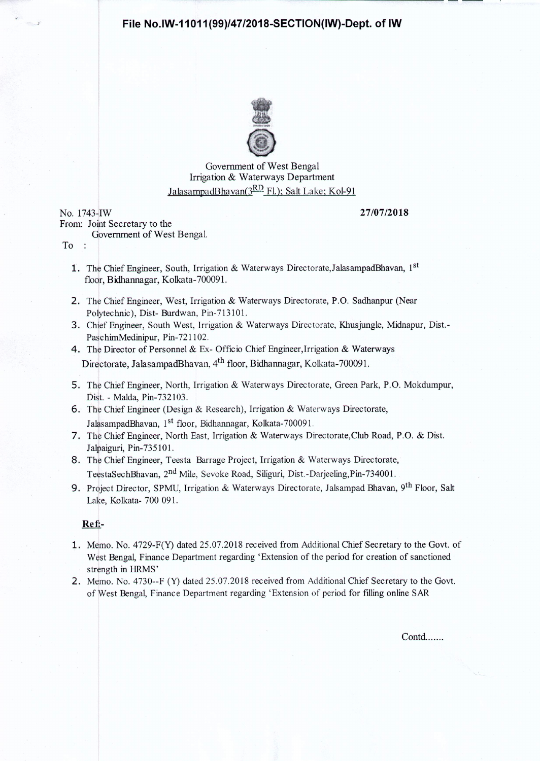## **File No.IW-11 011 (99)/47/2018-SECTION(IW)-Dept. of IW**



## Government of West Bengal Irrigation & Waterways Department JalasampadBhavan( $3\frac{RD}{I}$  Fl.); Salt Lake; Kol-91

No. 1743-IW **27/07/201** 

- From: Joint Secretary to the Government of West Bengal.
- To:
	- **1.** The Chief Engineer, South, Irrigation & Waterways Directorate, JalasampadBhavan, 1st flodr, Bidhannagar, Kolkata-700091.
	- **2.** The Chief Engineer, West, Irrigation & Waterways Directorate, P.O. Sadhanpur (Near Pojytechnic}, Dist- Burdwan, Pin-713101.
	- 3. Chief Engineer, South West, Irrigation & Waterways Directorate, Khusjungle, Midnapur, Dist.- PaschimMedinipur, Pin-721102.
	- **4.** The Director of Personnel & Ex- Officio Chief Engineer,Irrigation & Waterways Directorate, JalasampadBhavan, 4<sup>th</sup> floor, Bidhannagar, Kolkata-700091.
	- **5.** The Chief Engineer, North, Irrigation & Waterways Directorate, Green Park, P.O. Mokdumpur, Dist. - MaIda, **Pin-** 732103.
	- **6.** The Chief Engineer (Design & Research), Irrigation & Waterways Directorate, JalasampadBhavan, 1<sup>st</sup> floor, Bidhannagar, Kolkata-700091.
	- 7. The Chief Engineer, North East, Irrigation & Waterways Directorate,Club Road, P.O. & Dist. Jalpaiguri, Pin-735101.
	- **8.** The Chief Engineer, Teesta Barrage Project, Irrigation & Waterways Directorate, TeestaSechBhavan, 2nd Mile, Sevoke Road, Siliguri, Dist.-Darjeeling,Pin-734001.
	- 9. Project Director, SPMU, Irrigation & Waterways Directorate, Jalsampad Bhavan, 9<sup>th</sup> Floor, Salt Lake, Kolkata- 700 091.

## **Reft-**

- 1. Memo. No. 4729-F(Y) dated 25.07.2018 received from Additional Chief Secretary to the Govt. of West Bengal, Finance Department regarding 'Extension of the period for creation of sanctioned strength in HRMS'
- **2.** Memo. No. 4730--F (Y) dated 25.07.2018 received from Additional Chief Secretary to the Govt. of West Bengal, Finance Department regarding 'Extension of period for filling online SAR

 $Contd$ ......